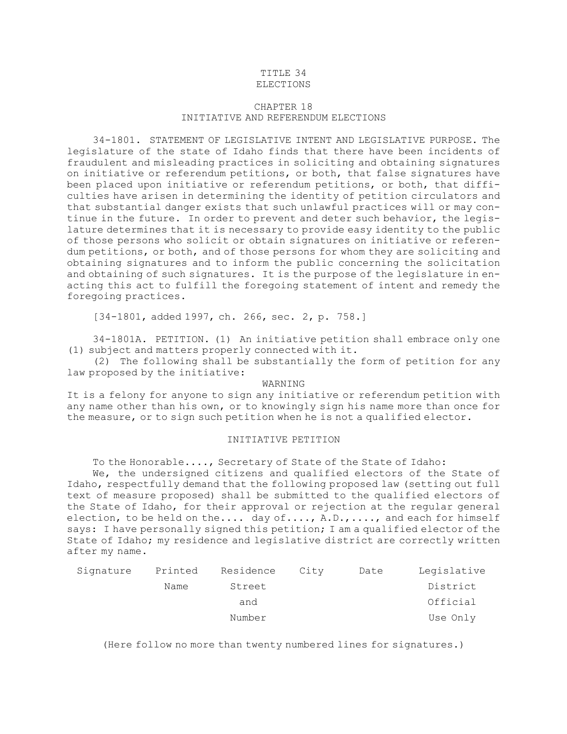## TITLE 34 ELECTIONS

## CHAPTER 18 INITIATIVE AND REFERENDUM ELECTIONS

34-1801. STATEMENT OF LEGISLATIVE INTENT AND LEGISLATIVE PURPOSE. The legislature of the state of Idaho finds that there have been incidents of fraudulent and misleading practices in soliciting and obtaining signatures on initiative or referendum petitions, or both, that false signatures have been placed upon initiative or referendum petitions, or both, that difficulties have arisen in determining the identity of petition circulators and that substantial danger exists that such unlawful practices will or may continue in the future. In order to prevent and deter such behavior, the legislature determines that it is necessary to provide easy identity to the public of those persons who solicit or obtain signatures on initiative or referendum petitions, or both, and of those persons for whom they are soliciting and obtaining signatures and to inform the public concerning the solicitation and obtaining of such signatures. It is the purpose of the legislature in enacting this act to fulfill the foregoing statement of intent and remedy the foregoing practices.

[34-1801, added 1997, ch. 266, sec. 2, p. 758.]

34-1801A. PETITION. (1) An initiative petition shall embrace only one (1) subject and matters properly connected with it.

(2) The following shall be substantially the form of petition for any law proposed by the initiative:

## WARNING

It is <sup>a</sup> felony for anyone to sign any initiative or referendum petition with any name other than his own, or to knowingly sign his name more than once for the measure, or to sign such petition when he is not <sup>a</sup> qualified elector.

## INITIATIVE PETITION

To the Honorable...., Secretary of State of the State of Idaho:

We, the undersigned citizens and qualified electors of the State of Idaho, respectfully demand that the following proposed law (setting out full text of measure proposed) shall be submitted to the qualified electors of the State of Idaho, for their approval or rejection at the regular general election, to be held on the.... day of...., A.D.,...., and each for himself says: <sup>I</sup> have personally signed this petition; <sup>I</sup> am <sup>a</sup> qualified elector of the State of Idaho; my residence and legislative district are correctly written after my name.

| Signature | Printed | Residence | City | Date | Legislative |
|-----------|---------|-----------|------|------|-------------|
|           | Name    | Street    |      |      | District    |
|           |         | and       |      |      | Official    |
|           |         | Number    |      |      | Use Only    |

(Here follow no more than twenty numbered lines for signatures.)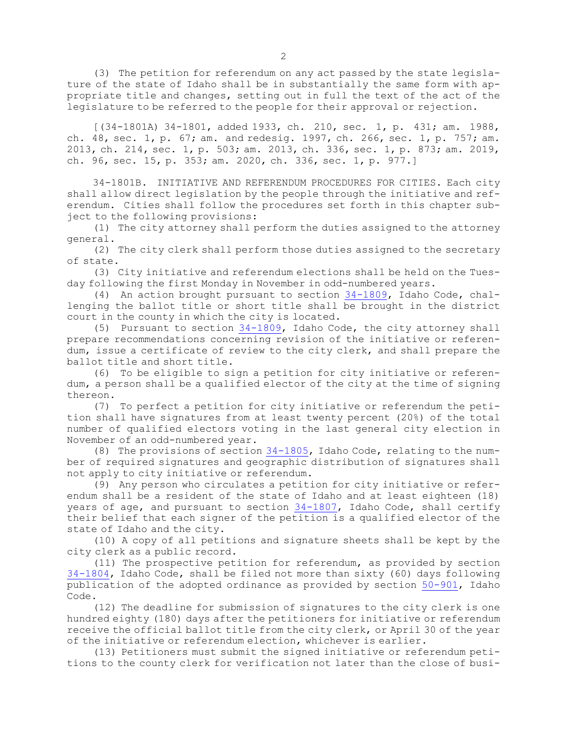(3) The petition for referendum on any act passed by the state legislature of the state of Idaho shall be in substantially the same form with appropriate title and changes, setting out in full the text of the act of the legislature to be referred to the people for their approval or rejection.

[(34-1801A) 34-1801, added 1933, ch. 210, sec. 1, p. 431; am. 1988, ch. 48, sec. 1, p. 67; am. and redesig. 1997, ch. 266, sec. 1, p. 757; am. 2013, ch. 214, sec. 1, p. 503; am. 2013, ch. 336, sec. 1, p. 873; am. 2019, ch. 96, sec. 15, p. 353; am. 2020, ch. 336, sec. 1, p. 977.]

34-1801B. INITIATIVE AND REFERENDUM PROCEDURES FOR CITIES. Each city shall allow direct legislation by the people through the initiative and referendum. Cities shall follow the procedures set forth in this chapter subject to the following provisions:

(1) The city attorney shall perform the duties assigned to the attorney general.

(2) The city clerk shall perform those duties assigned to the secretary of state.

(3) City initiative and referendum elections shall be held on the Tuesday following the first Monday in November in odd-numbered years.

(4) An action brought pursuant to section [34-1809](https://legislature.idaho.gov/statutesrules/idstat/Title34/T34CH18/SECT34-1809), Idaho Code, challenging the ballot title or short title shall be brought in the district court in the county in which the city is located.

(5) Pursuant to section  $34-1809$ , Idaho Code, the city attorney shall prepare recommendations concerning revision of the initiative or referendum, issue <sup>a</sup> certificate of review to the city clerk, and shall prepare the ballot title and short title.

(6) To be eligible to sign <sup>a</sup> petition for city initiative or referendum, <sup>a</sup> person shall be <sup>a</sup> qualified elector of the city at the time of signing thereon.

(7) To perfect <sup>a</sup> petition for city initiative or referendum the petition shall have signatures from at least twenty percent (20%) of the total number of qualified electors voting in the last general city election in November of an odd-numbered year.

(8) The provisions of section [34-1805](https://legislature.idaho.gov/statutesrules/idstat/Title34/T34CH18/SECT34-1805), Idaho Code, relating to the number of required signatures and geographic distribution of signatures shall not apply to city initiative or referendum.

(9) Any person who circulates <sup>a</sup> petition for city initiative or referendum shall be <sup>a</sup> resident of the state of Idaho and at least eighteen (18) years of age, and pursuant to section [34-1807](https://legislature.idaho.gov/statutesrules/idstat/Title34/T34CH18/SECT34-1807), Idaho Code, shall certify their belief that each signer of the petition is <sup>a</sup> qualified elector of the state of Idaho and the city.

(10) <sup>A</sup> copy of all petitions and signature sheets shall be kept by the city clerk as <sup>a</sup> public record.

(11) The prospective petition for referendum, as provided by section [34-1804](https://legislature.idaho.gov/statutesrules/idstat/Title34/T34CH18/SECT34-1804), Idaho Code, shall be filed not more than sixty (60) days following publication of the adopted ordinance as provided by section [50-901](https://legislature.idaho.gov/statutesrules/idstat/Title50/T50CH9/SECT50-901), Idaho Code.

(12) The deadline for submission of signatures to the city clerk is one hundred eighty (180) days after the petitioners for initiative or referendum receive the official ballot title from the city clerk, or April 30 of the year of the initiative or referendum election, whichever is earlier.

(13) Petitioners must submit the signed initiative or referendum petitions to the county clerk for verification not later than the close of busi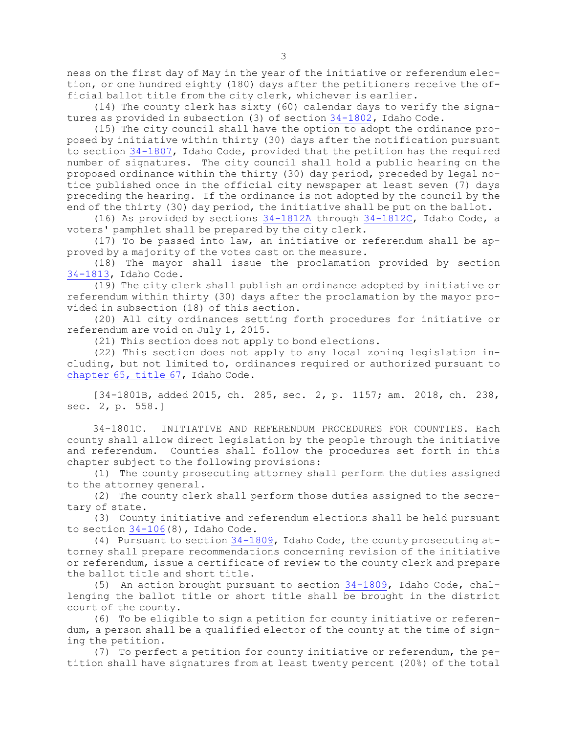ness on the first day of May in the year of the initiative or referendum election, or one hundred eighty (180) days after the petitioners receive the official ballot title from the city clerk, whichever is earlier.

(14) The county clerk has sixty (60) calendar days to verify the signatures as provided in subsection (3) of section [34-1802](https://legislature.idaho.gov/statutesrules/idstat/Title34/T34CH18/SECT34-1802), Idaho Code.

(15) The city council shall have the option to adopt the ordinance proposed by initiative within thirty (30) days after the notification pursuant to section [34-1807](https://legislature.idaho.gov/statutesrules/idstat/Title34/T34CH18/SECT34-1807), Idaho Code, provided that the petition has the required number of signatures. The city council shall hold <sup>a</sup> public hearing on the proposed ordinance within the thirty (30) day period, preceded by legal notice published once in the official city newspaper at least seven (7) days preceding the hearing. If the ordinance is not adopted by the council by the end of the thirty (30) day period, the initiative shall be put on the ballot.

(16) As provided by sections [34-1812A](https://legislature.idaho.gov/statutesrules/idstat/Title34/T34CH18/SECT34-1812A) through [34-1812C](https://legislature.idaho.gov/statutesrules/idstat/Title34/T34CH18/SECT34-1812C), Idaho Code, <sup>a</sup> voters' pamphlet shall be prepared by the city clerk.

(17) To be passed into law, an initiative or referendum shall be approved by <sup>a</sup> majority of the votes cast on the measure.

(18) The mayor shall issue the proclamation provided by section [34-1813](https://legislature.idaho.gov/statutesrules/idstat/Title34/T34CH18/SECT34-1813), Idaho Code.

 $(19)$  The city clerk shall publish an ordinance adopted by initiative or referendum within thirty (30) days after the proclamation by the mayor provided in subsection (18) of this section.

(20) All city ordinances setting forth procedures for initiative or referendum are void on July 1, 2015.

(21) This section does not apply to bond elections.

(22) This section does not apply to any local zoning legislation including, but not limited to, ordinances required or authorized pursuant to [chapter](https://legislature.idaho.gov/statutesrules/idstat/Title67/T67CH65) 65, title 67, Idaho Code.

[34-1801B, added 2015, ch. 285, sec. 2, p. 1157; am. 2018, ch. 238, sec. 2, p. 558.]

34-1801C. INITIATIVE AND REFERENDUM PROCEDURES FOR COUNTIES. Each county shall allow direct legislation by the people through the initiative and referendum. Counties shall follow the procedures set forth in this chapter subject to the following provisions:

(1) The county prosecuting attorney shall perform the duties assigned to the attorney general.

(2) The county clerk shall perform those duties assigned to the secretary of state.

(3) County initiative and referendum elections shall be held pursuant to section [34-106](https://legislature.idaho.gov/statutesrules/idstat/Title34/T34CH1/SECT34-106)(8), Idaho Code.

(4) Pursuant to section [34-1809](https://legislature.idaho.gov/statutesrules/idstat/Title34/T34CH18/SECT34-1809), Idaho Code, the county prosecuting attorney shall prepare recommendations concerning revision of the initiative or referendum, issue <sup>a</sup> certificate of review to the county clerk and prepare the ballot title and short title.

(5) An action brought pursuant to section [34-1809](https://legislature.idaho.gov/statutesrules/idstat/Title34/T34CH18/SECT34-1809), Idaho Code, challenging the ballot title or short title shall be brought in the district court of the county.

(6) To be eligible to sign <sup>a</sup> petition for county initiative or referendum, <sup>a</sup> person shall be <sup>a</sup> qualified elector of the county at the time of signing the petition.

(7) To perfect <sup>a</sup> petition for county initiative or referendum, the petition shall have signatures from at least twenty percent (20%) of the total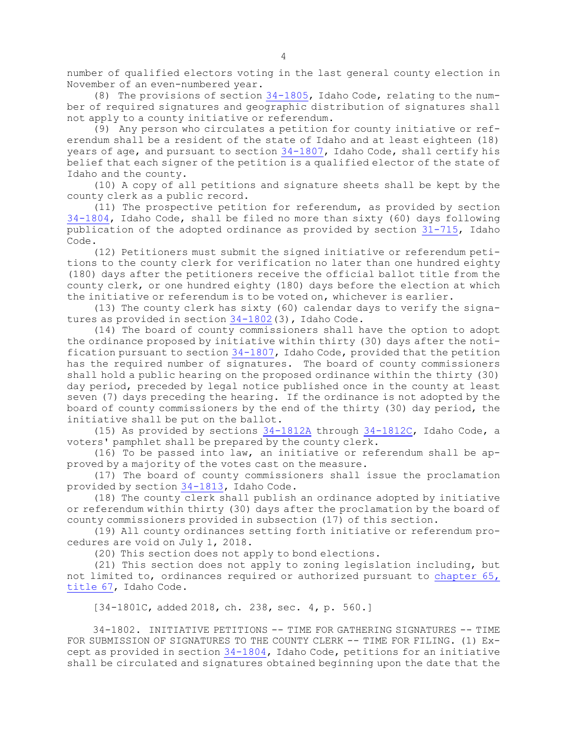number of qualified electors voting in the last general county election in November of an even-numbered year.

(8) The provisions of section [34-1805](https://legislature.idaho.gov/statutesrules/idstat/Title34/T34CH18/SECT34-1805), Idaho Code, relating to the number of required signatures and geographic distribution of signatures shall not apply to <sup>a</sup> county initiative or referendum.

(9) Any person who circulates <sup>a</sup> petition for county initiative or referendum shall be <sup>a</sup> resident of the state of Idaho and at least eighteen (18) years of age, and pursuant to section [34-1807](https://legislature.idaho.gov/statutesrules/idstat/Title34/T34CH18/SECT34-1807), Idaho Code, shall certify his belief that each signer of the petition is <sup>a</sup> qualified elector of the state of Idaho and the county.

(10) <sup>A</sup> copy of all petitions and signature sheets shall be kept by the county clerk as <sup>a</sup> public record.

(11) The prospective petition for referendum, as provided by section [34-1804](https://legislature.idaho.gov/statutesrules/idstat/Title34/T34CH18/SECT34-1804), Idaho Code, shall be filed no more than sixty (60) days following publication of the adopted ordinance as provided by section [31-715](https://legislature.idaho.gov/statutesrules/idstat/Title31/T31CH7/SECT31-715), Idaho Code.

(12) Petitioners must submit the signed initiative or referendum petitions to the county clerk for verification no later than one hundred eighty (180) days after the petitioners receive the official ballot title from the county clerk, or one hundred eighty (180) days before the election at which the initiative or referendum is to be voted on, whichever is earlier.

(13) The county clerk has sixty (60) calendar days to verify the signatures as provided in section [34-1802](https://legislature.idaho.gov/statutesrules/idstat/Title34/T34CH18/SECT34-1802)(3), Idaho Code.

(14) The board of county commissioners shall have the option to adopt the ordinance proposed by initiative within thirty (30) days after the notification pursuant to section [34-1807](https://legislature.idaho.gov/statutesrules/idstat/Title34/T34CH18/SECT34-1807), Idaho Code, provided that the petition has the required number of signatures. The board of county commissioners shall hold <sup>a</sup> public hearing on the proposed ordinance within the thirty (30) day period, preceded by legal notice published once in the county at least seven (7) days preceding the hearing. If the ordinance is not adopted by the board of county commissioners by the end of the thirty (30) day period, the initiative shall be put on the ballot.

(15) As provided by sections [34-1812A](https://legislature.idaho.gov/statutesrules/idstat/Title34/T34CH18/SECT34-1812A) through [34-1812C](https://legislature.idaho.gov/statutesrules/idstat/Title34/T34CH18/SECT34-1812C), Idaho Code, <sup>a</sup> voters' pamphlet shall be prepared by the county clerk.

(16) To be passed into law, an initiative or referendum shall be approved by <sup>a</sup> majority of the votes cast on the measure.

(17) The board of county commissioners shall issue the proclamation provided by section [34-1813](https://legislature.idaho.gov/statutesrules/idstat/Title34/T34CH18/SECT34-1813), Idaho Code.

(18) The county clerk shall publish an ordinance adopted by initiative or referendum within thirty (30) days after the proclamation by the board of county commissioners provided in subsection (17) of this section.

(19) All county ordinances setting forth initiative or referendum procedures are void on July 1, 2018.

(20) This section does not apply to bond elections.

(21) This section does not apply to zoning legislation including, but not limited to, ordinances required or authorized pursuant to [chapter](https://legislature.idaho.gov/statutesrules/idstat/Title67/T67CH65) 65, [title](https://legislature.idaho.gov/statutesrules/idstat/Title67/T67CH65) 67, Idaho Code.

[34-1801C, added 2018, ch. 238, sec. 4, p. 560.]

34-1802. INITIATIVE PETITIONS -- TIME FOR GATHERING SIGNATURES -- TIME FOR SUBMISSION OF SIGNATURES TO THE COUNTY CLERK -- TIME FOR FILING. (1) Except as provided in section [34-1804](https://legislature.idaho.gov/statutesrules/idstat/Title34/T34CH18/SECT34-1804), Idaho Code, petitions for an initiative shall be circulated and signatures obtained beginning upon the date that the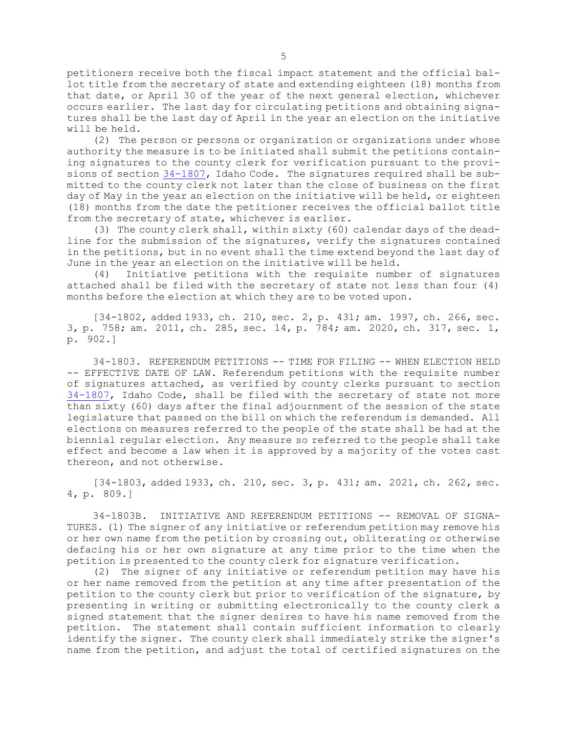petitioners receive both the fiscal impact statement and the official ballot title from the secretary of state and extending eighteen (18) months from that date, or April 30 of the year of the next general election, whichever occurs earlier. The last day for circulating petitions and obtaining signatures shall be the last day of April in the year an election on the initiative will be held.

(2) The person or persons or organization or organizations under whose authority the measure is to be initiated shall submit the petitions containing signatures to the county clerk for verification pursuant to the provisions of section [34-1807](https://legislature.idaho.gov/statutesrules/idstat/Title34/T34CH18/SECT34-1807), Idaho Code. The signatures required shall be submitted to the county clerk not later than the close of business on the first day of May in the year an election on the initiative will be held, or eighteen (18) months from the date the petitioner receives the official ballot title from the secretary of state, whichever is earlier.

(3) The county clerk shall, within sixty (60) calendar days of the deadline for the submission of the signatures, verify the signatures contained in the petitions, but in no event shall the time extend beyond the last day of June in the year an election on the initiative will be held.

(4) Initiative petitions with the requisite number of signatures attached shall be filed with the secretary of state not less than four (4) months before the election at which they are to be voted upon.

[34-1802, added 1933, ch. 210, sec. 2, p. 431; am. 1997, ch. 266, sec. 3, p. 758; am. 2011, ch. 285, sec. 14, p. 784; am. 2020, ch. 317, sec. 1, p. 902.]

34-1803. REFERENDUM PETITIONS -- TIME FOR FILING -- WHEN ELECTION HELD -- EFFECTIVE DATE OF LAW. Referendum petitions with the requisite number of signatures attached, as verified by county clerks pursuant to section [34-1807](https://legislature.idaho.gov/statutesrules/idstat/Title34/T34CH18/SECT34-1807), Idaho Code, shall be filed with the secretary of state not more than sixty (60) days after the final adjournment of the session of the state legislature that passed on the bill on which the referendum is demanded. All elections on measures referred to the people of the state shall be had at the biennial regular election. Any measure so referred to the people shall take effect and become <sup>a</sup> law when it is approved by <sup>a</sup> majority of the votes cast thereon, and not otherwise.

[34-1803, added 1933, ch. 210, sec. 3, p. 431; am. 2021, ch. 262, sec. 4, p. 809.]

34-1803B. INITIATIVE AND REFERENDUM PETITIONS -- REMOVAL OF SIGNA-TURES. (1) The signer of any initiative or referendum petition may remove his or her own name from the petition by crossing out, obliterating or otherwise defacing his or her own signature at any time prior to the time when the petition is presented to the county clerk for signature verification.

(2) The signer of any initiative or referendum petition may have his or her name removed from the petition at any time after presentation of the petition to the county clerk but prior to verification of the signature, by presenting in writing or submitting electronically to the county clerk <sup>a</sup> signed statement that the signer desires to have his name removed from the petition. The statement shall contain sufficient information to clearly identify the signer. The county clerk shall immediately strike the signer's name from the petition, and adjust the total of certified signatures on the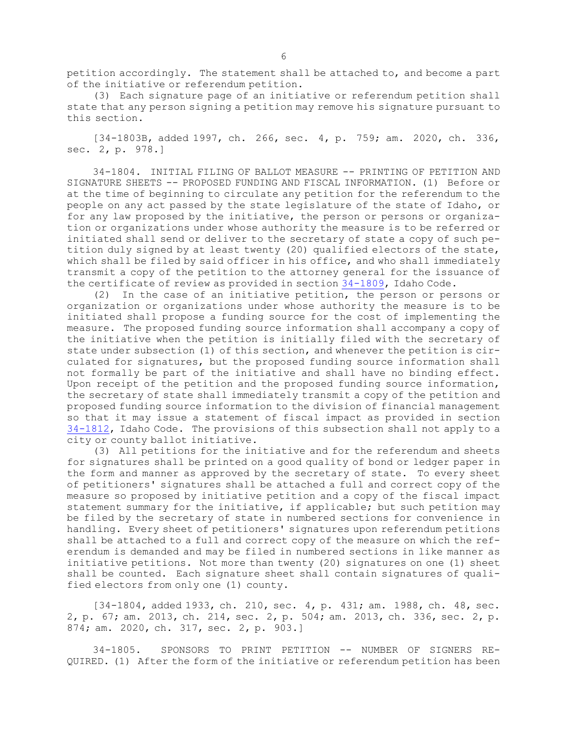petition accordingly. The statement shall be attached to, and become <sup>a</sup> part of the initiative or referendum petition.

(3) Each signature page of an initiative or referendum petition shall state that any person signing <sup>a</sup> petition may remove his signature pursuant to this section.

[34-1803B, added 1997, ch. 266, sec. 4, p. 759; am. 2020, ch. 336, sec. 2, p. 978.]

34-1804. INITIAL FILING OF BALLOT MEASURE -- PRINTING OF PETITION AND SIGNATURE SHEETS -- PROPOSED FUNDING AND FISCAL INFORMATION. (1) Before or at the time of beginning to circulate any petition for the referendum to the people on any act passed by the state legislature of the state of Idaho, or for any law proposed by the initiative, the person or persons or organization or organizations under whose authority the measure is to be referred or initiated shall send or deliver to the secretary of state <sup>a</sup> copy of such petition duly signed by at least twenty (20) qualified electors of the state, which shall be filed by said officer in his office, and who shall immediately transmit <sup>a</sup> copy of the petition to the attorney general for the issuance of the certificate of review as provided in section [34-1809](https://legislature.idaho.gov/statutesrules/idstat/Title34/T34CH18/SECT34-1809), Idaho Code.

(2) In the case of an initiative petition, the person or persons or organization or organizations under whose authority the measure is to be initiated shall propose <sup>a</sup> funding source for the cost of implementing the measure. The proposed funding source information shall accompany <sup>a</sup> copy of the initiative when the petition is initially filed with the secretary of state under subsection (1) of this section, and whenever the petition is circulated for signatures, but the proposed funding source information shall not formally be part of the initiative and shall have no binding effect. Upon receipt of the petition and the proposed funding source information, the secretary of state shall immediately transmit <sup>a</sup> copy of the petition and proposed funding source information to the division of financial management so that it may issue <sup>a</sup> statement of fiscal impact as provided in section [34-1812](https://legislature.idaho.gov/statutesrules/idstat/Title34/T34CH18/SECT34-1812), Idaho Code. The provisions of this subsection shall not apply to <sup>a</sup> city or county ballot initiative.

(3) All petitions for the initiative and for the referendum and sheets for signatures shall be printed on <sup>a</sup> good quality of bond or ledger paper in the form and manner as approved by the secretary of state. To every sheet of petitioners' signatures shall be attached <sup>a</sup> full and correct copy of the measure so proposed by initiative petition and <sup>a</sup> copy of the fiscal impact statement summary for the initiative, if applicable; but such petition may be filed by the secretary of state in numbered sections for convenience in handling. Every sheet of petitioners' signatures upon referendum petitions shall be attached to <sup>a</sup> full and correct copy of the measure on which the referendum is demanded and may be filed in numbered sections in like manner as initiative petitions. Not more than twenty (20) signatures on one (1) sheet shall be counted. Each signature sheet shall contain signatures of qualified electors from only one (1) county.

[34-1804, added 1933, ch. 210, sec. 4, p. 431; am. 1988, ch. 48, sec. 2, p. 67; am. 2013, ch. 214, sec. 2, p. 504; am. 2013, ch. 336, sec. 2, p. 874; am. 2020, ch. 317, sec. 2, p. 903.]

34-1805. SPONSORS TO PRINT PETITION -- NUMBER OF SIGNERS RE-QUIRED. (1) After the form of the initiative or referendum petition has been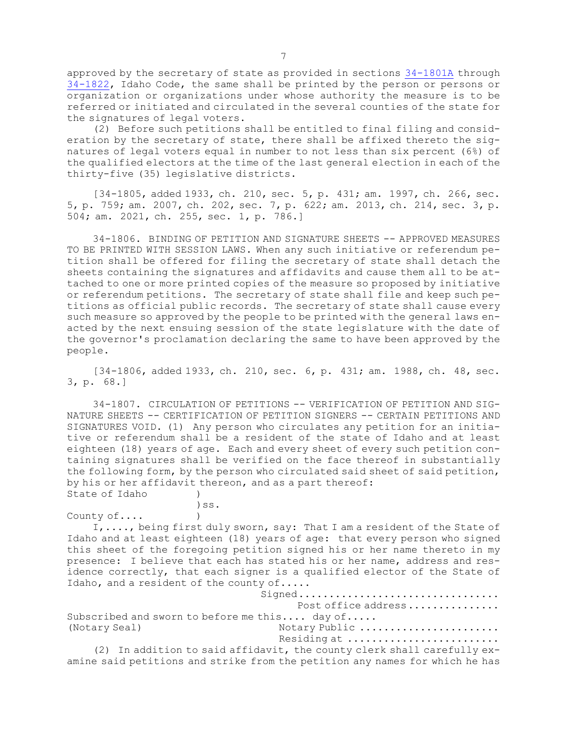approved by the secretary of state as provided in sections [34-1801A](https://legislature.idaho.gov/statutesrules/idstat/Title34/T34CH18/SECT34-1801A) through [34-1822](https://legislature.idaho.gov/statutesrules/idstat/Title34/T34CH18/SECT34-1822), Idaho Code, the same shall be printed by the person or persons or organization or organizations under whose authority the measure is to be referred or initiated and circulated in the several counties of the state for the signatures of legal voters.

(2) Before such petitions shall be entitled to final filing and consideration by the secretary of state, there shall be affixed thereto the signatures of legal voters equal in number to not less than six percent (6%) of the qualified electors at the time of the last general election in each of the thirty-five (35) legislative districts.

[34-1805, added 1933, ch. 210, sec. 5, p. 431; am. 1997, ch. 266, sec. 5, p. 759; am. 2007, ch. 202, sec. 7, p. 622; am. 2013, ch. 214, sec. 3, p. 504; am. 2021, ch. 255, sec. 1, p. 786.]

34-1806. BINDING OF PETITION AND SIGNATURE SHEETS -- APPROVED MEASURES TO BE PRINTED WITH SESSION LAWS. When any such initiative or referendum petition shall be offered for filing the secretary of state shall detach the sheets containing the signatures and affidavits and cause them all to be attached to one or more printed copies of the measure so proposed by initiative or referendum petitions. The secretary of state shall file and keep such petitions as official public records. The secretary of state shall cause every such measure so approved by the people to be printed with the general laws enacted by the next ensuing session of the state legislature with the date of the governor's proclamation declaring the same to have been approved by the people.

[34-1806, added 1933, ch. 210, sec. 6, p. 431; am. 1988, ch. 48, sec. 3, p. 68.]

34-1807. CIRCULATION OF PETITIONS -- VERIFICATION OF PETITION AND SIG-NATURE SHEETS -- CERTIFICATION OF PETITION SIGNERS -- CERTAIN PETITIONS AND SIGNATURES VOID. (1) Any person who circulates any petition for an initiative or referendum shall be <sup>a</sup> resident of the state of Idaho and at least eighteen (18) years of age. Each and every sheet of every such petition containing signatures shall be verified on the face thereof in substantially the following form, by the person who circulated said sheet of said petition, by his or her affidavit thereon, and as <sup>a</sup> part thereof: State of Idaho (1)

County of....

)ss.

I,...., being first duly sworn, say: That <sup>I</sup> am <sup>a</sup> resident of the State of Idaho and at least eighteen (18) years of age: that every person who signed this sheet of the foregoing petition signed his or her name thereto in my presence: <sup>I</sup> believe that each has stated his or her name, address and residence correctly, that each signer is <sup>a</sup> qualified elector of the State of Idaho, and <sup>a</sup> resident of the county of.....

Signed.................................. Post office address............... Subscribed and sworn to before me this.... day of..... (Notary Seal) Notary Public ....................... Residing at ..........................

(2) In addition to said affidavit, the county clerk shall carefully examine said petitions and strike from the petition any names for which he has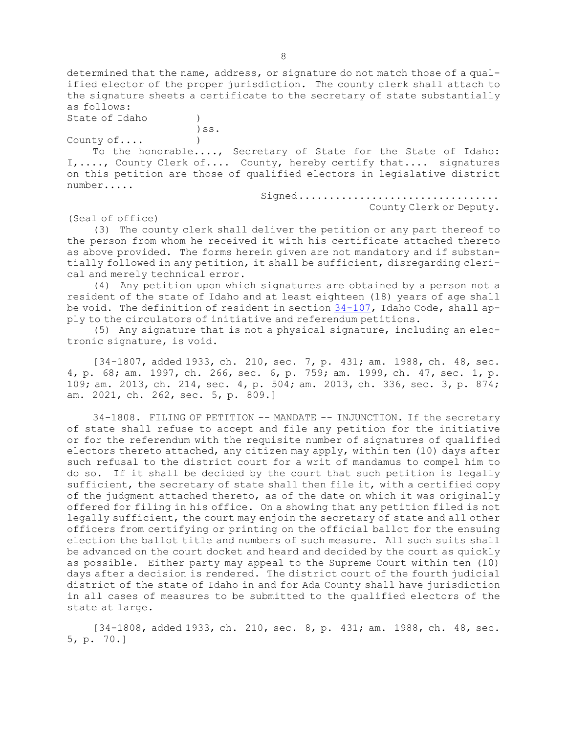determined that the name, address, or signature do not match those of <sup>a</sup> qualified elector of the proper jurisdiction. The county clerk shall attach to the signature sheets <sup>a</sup> certificate to the secretary of state substantially as follows:

State of Idaho (1)

)ss. County of.... )

To the honorable...., Secretary of State for the State of Idaho: I,...., County Clerk of.... County, hereby certify that.... signatures on this petition are those of qualified electors in legislative district number.....

> Signed.................................. County Clerk or Deputy.

(Seal of office)

(3) The county clerk shall deliver the petition or any part thereof to the person from whom he received it with his certificate attached thereto as above provided. The forms herein given are not mandatory and if substantially followed in any petition, it shall be sufficient, disregarding clerical and merely technical error.

(4) Any petition upon which signatures are obtained by <sup>a</sup> person not <sup>a</sup> resident of the state of Idaho and at least eighteen (18) years of age shall be void. The definition of resident in section [34-107](https://legislature.idaho.gov/statutesrules/idstat/Title34/T34CH1/SECT34-107), Idaho Code, shall apply to the circulators of initiative and referendum petitions.

(5) Any signature that is not <sup>a</sup> physical signature, including an electronic signature, is void.

[34-1807, added 1933, ch. 210, sec. 7, p. 431; am. 1988, ch. 48, sec. 4, p. 68; am. 1997, ch. 266, sec. 6, p. 759; am. 1999, ch. 47, sec. 1, p. 109; am. 2013, ch. 214, sec. 4, p. 504; am. 2013, ch. 336, sec. 3, p. 874; am. 2021, ch. 262, sec. 5, p. 809.]

34-1808. FILING OF PETITION -- MANDATE -- INJUNCTION. If the secretary of state shall refuse to accept and file any petition for the initiative or for the referendum with the requisite number of signatures of qualified electors thereto attached, any citizen may apply, within ten (10) days after such refusal to the district court for <sup>a</sup> writ of mandamus to compel him to do so. If it shall be decided by the court that such petition is legally sufficient, the secretary of state shall then file it, with a certified copy of the judgment attached thereto, as of the date on which it was originally offered for filing in his office. On <sup>a</sup> showing that any petition filed is not legally sufficient, the court may enjoin the secretary of state and all other officers from certifying or printing on the official ballot for the ensuing election the ballot title and numbers of such measure. All such suits shall be advanced on the court docket and heard and decided by the court as quickly as possible. Either party may appeal to the Supreme Court within ten (10) days after <sup>a</sup> decision is rendered. The district court of the fourth judicial district of the state of Idaho in and for Ada County shall have jurisdiction in all cases of measures to be submitted to the qualified electors of the state at large.

[34-1808, added 1933, ch. 210, sec. 8, p. 431; am. 1988, ch. 48, sec. 5, p. 70.]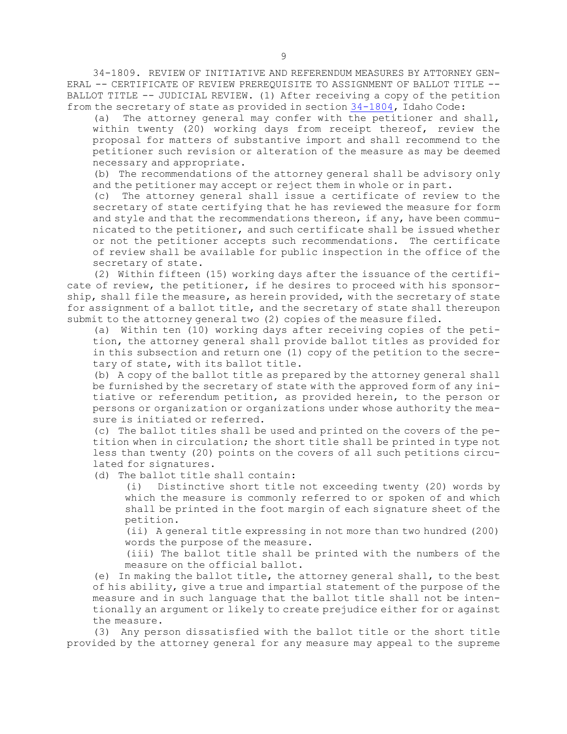34-1809. REVIEW OF INITIATIVE AND REFERENDUM MEASURES BY ATTORNEY GEN-ERAL -- CERTIFICATE OF REVIEW PREREQUISITE TO ASSIGNMENT OF BALLOT TITLE -- BALLOT TITLE -- JUDICIAL REVIEW. (1) After receiving <sup>a</sup> copy of the petition from the secretary of state as provided in section [34-1804](https://legislature.idaho.gov/statutesrules/idstat/Title34/T34CH18/SECT34-1804), Idaho Code:

(a) The attorney general may confer with the petitioner and shall, within twenty (20) working days from receipt thereof, review the proposal for matters of substantive import and shall recommend to the petitioner such revision or alteration of the measure as may be deemed necessary and appropriate.

(b) The recommendations of the attorney general shall be advisory only and the petitioner may accept or reject them in whole or in part.

(c) The attorney general shall issue <sup>a</sup> certificate of review to the secretary of state certifying that he has reviewed the measure for form and style and that the recommendations thereon, if any, have been communicated to the petitioner, and such certificate shall be issued whether or not the petitioner accepts such recommendations. The certificate of review shall be available for public inspection in the office of the secretary of state.

(2) Within fifteen (15) working days after the issuance of the certificate of review, the petitioner, if he desires to proceed with his sponsorship, shall file the measure, as herein provided, with the secretary of state for assignment of <sup>a</sup> ballot title, and the secretary of state shall thereupon submit to the attorney general two (2) copies of the measure filed.

(a) Within ten (10) working days after receiving copies of the petition, the attorney general shall provide ballot titles as provided for in this subsection and return one (1) copy of the petition to the secretary of state, with its ballot title.

(b) <sup>A</sup> copy of the ballot title as prepared by the attorney general shall be furnished by the secretary of state with the approved form of any initiative or referendum petition, as provided herein, to the person or persons or organization or organizations under whose authority the measure is initiated or referred.

(c) The ballot titles shall be used and printed on the covers of the petition when in circulation; the short title shall be printed in type not less than twenty (20) points on the covers of all such petitions circulated for signatures.

(d) The ballot title shall contain:

(i) Distinctive short title not exceeding twenty (20) words by which the measure is commonly referred to or spoken of and which shall be printed in the foot margin of each signature sheet of the petition.

(ii) <sup>A</sup> general title expressing in not more than two hundred (200) words the purpose of the measure.

(iii) The ballot title shall be printed with the numbers of the measure on the official ballot.

(e) In making the ballot title, the attorney general shall, to the best of his ability, give <sup>a</sup> true and impartial statement of the purpose of the measure and in such language that the ballot title shall not be intentionally an argument or likely to create prejudice either for or against the measure.

(3) Any person dissatisfied with the ballot title or the short title provided by the attorney general for any measure may appeal to the supreme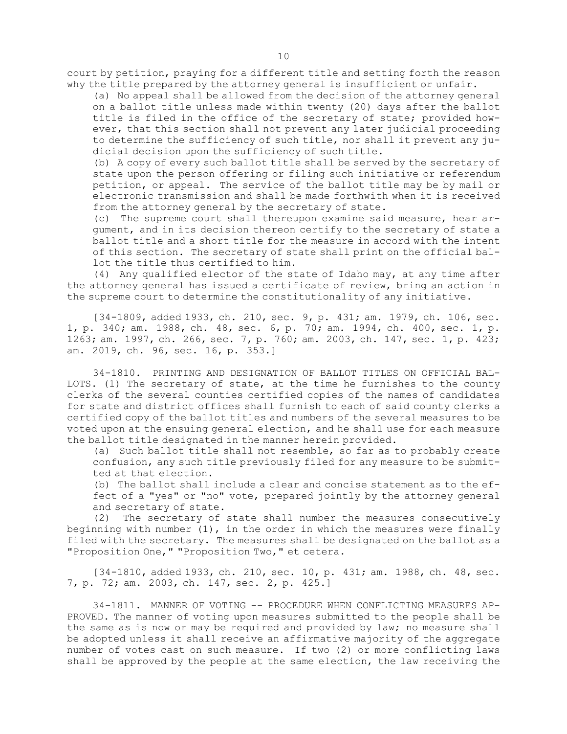court by petition, praying for <sup>a</sup> different title and setting forth the reason why the title prepared by the attorney general is insufficient or unfair.

(a) No appeal shall be allowed from the decision of the attorney general on <sup>a</sup> ballot title unless made within twenty (20) days after the ballot title is filed in the office of the secretary of state; provided however, that this section shall not prevent any later judicial proceeding to determine the sufficiency of such title, nor shall it prevent any judicial decision upon the sufficiency of such title.

(b) <sup>A</sup> copy of every such ballot title shall be served by the secretary of state upon the person offering or filing such initiative or referendum petition, or appeal. The service of the ballot title may be by mail or electronic transmission and shall be made forthwith when it is received from the attorney general by the secretary of state.

(c) The supreme court shall thereupon examine said measure, hear argument, and in its decision thereon certify to the secretary of state <sup>a</sup> ballot title and <sup>a</sup> short title for the measure in accord with the intent of this section. The secretary of state shall print on the official ballot the title thus certified to him.

(4) Any qualified elector of the state of Idaho may, at any time after the attorney general has issued <sup>a</sup> certificate of review, bring an action in the supreme court to determine the constitutionality of any initiative.

[34-1809, added 1933, ch. 210, sec. 9, p. 431; am. 1979, ch. 106, sec. 1, p. 340; am. 1988, ch. 48, sec. 6, p. 70; am. 1994, ch. 400, sec. 1, p. 1263; am. 1997, ch. 266, sec. 7, p. 760; am. 2003, ch. 147, sec. 1, p. 423; am. 2019, ch. 96, sec. 16, p. 353.]

34-1810. PRINTING AND DESIGNATION OF BALLOT TITLES ON OFFICIAL BAL-LOTS. (1) The secretary of state, at the time he furnishes to the county clerks of the several counties certified copies of the names of candidates for state and district offices shall furnish to each of said county clerks <sup>a</sup> certified copy of the ballot titles and numbers of the several measures to be voted upon at the ensuing general election, and he shall use for each measure the ballot title designated in the manner herein provided.

(a) Such ballot title shall not resemble, so far as to probably create confusion, any such title previously filed for any measure to be submitted at that election.

(b) The ballot shall include <sup>a</sup> clear and concise statement as to the effect of <sup>a</sup> "yes" or "no" vote, prepared jointly by the attorney general and secretary of state.

(2) The secretary of state shall number the measures consecutively beginning with number  $(1)$ , in the order in which the measures were finally filed with the secretary. The measures shall be designated on the ballot as <sup>a</sup> "Proposition One," "Proposition Two," et cetera.

[34-1810, added 1933, ch. 210, sec. 10, p. 431; am. 1988, ch. 48, sec. 7, p. 72; am. 2003, ch. 147, sec. 2, p. 425.]

34-1811. MANNER OF VOTING -- PROCEDURE WHEN CONFLICTING MEASURES AP-PROVED. The manner of voting upon measures submitted to the people shall be the same as is now or may be required and provided by law; no measure shall be adopted unless it shall receive an affirmative majority of the aggregate number of votes cast on such measure. If two (2) or more conflicting laws shall be approved by the people at the same election, the law receiving the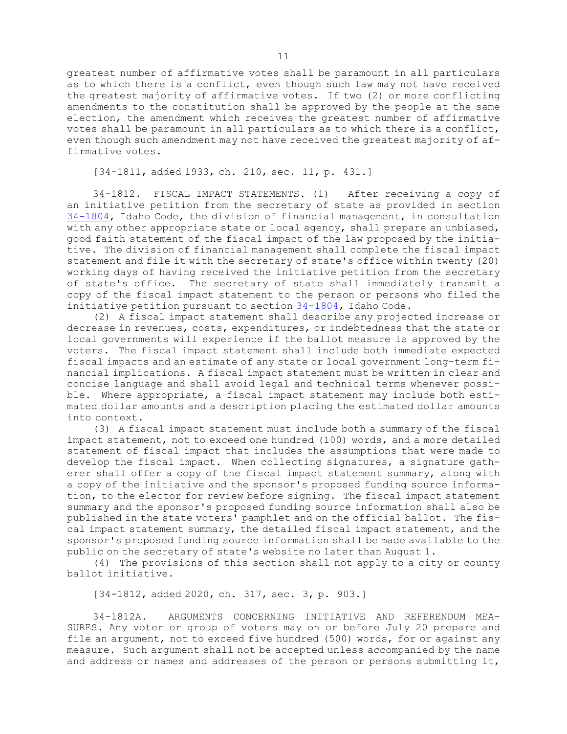greatest number of affirmative votes shall be paramount in all particulars as to which there is <sup>a</sup> conflict, even though such law may not have received the greatest majority of affirmative votes. If two (2) or more conflicting amendments to the constitution shall be approved by the people at the same election, the amendment which receives the greatest number of affirmative votes shall be paramount in all particulars as to which there is <sup>a</sup> conflict, even though such amendment may not have received the greatest majority of affirmative votes.

[34-1811, added 1933, ch. 210, sec. 11, p. 431.]

34-1812. FISCAL IMPACT STATEMENTS. (1) After receiving <sup>a</sup> copy of an initiative petition from the secretary of state as provided in section [34-1804](https://legislature.idaho.gov/statutesrules/idstat/Title34/T34CH18/SECT34-1804), Idaho Code, the division of financial management, in consultation with any other appropriate state or local agency, shall prepare an unbiased, good faith statement of the fiscal impact of the law proposed by the initiative. The division of financial management shall complete the fiscal impact statement and file it with the secretary of state's office within twenty (20) working days of having received the initiative petition from the secretary of state's office. The secretary of state shall immediately transmit <sup>a</sup> copy of the fiscal impact statement to the person or persons who filed the initiative petition pursuant to section [34-1804](https://legislature.idaho.gov/statutesrules/idstat/Title34/T34CH18/SECT34-1804), Idaho Code.

(2) <sup>A</sup> fiscal impact statement shall describe any projected increase or decrease in revenues, costs, expenditures, or indebtedness that the state or local governments will experience if the ballot measure is approved by the voters. The fiscal impact statement shall include both immediate expected fiscal impacts and an estimate of any state or local government long-term financial implications. <sup>A</sup> fiscal impact statement must be written in clear and concise language and shall avoid legal and technical terms whenever possible. Where appropriate, <sup>a</sup> fiscal impact statement may include both estimated dollar amounts and <sup>a</sup> description placing the estimated dollar amounts into context.

(3) <sup>A</sup> fiscal impact statement must include both <sup>a</sup> summary of the fiscal impact statement, not to exceed one hundred (100) words, and <sup>a</sup> more detailed statement of fiscal impact that includes the assumptions that were made to develop the fiscal impact. When collecting signatures, <sup>a</sup> signature gatherer shall offer <sup>a</sup> copy of the fiscal impact statement summary, along with <sup>a</sup> copy of the initiative and the sponsor's proposed funding source information, to the elector for review before signing. The fiscal impact statement summary and the sponsor's proposed funding source information shall also be published in the state voters' pamphlet and on the official ballot. The fiscal impact statement summary, the detailed fiscal impact statement, and the sponsor's proposed funding source information shall be made available to the public on the secretary of state's website no later than August 1.

(4) The provisions of this section shall not apply to <sup>a</sup> city or county ballot initiative.

[34-1812, added 2020, ch. 317, sec. 3, p. 903.]

34-1812A. ARGUMENTS CONCERNING INITIATIVE AND REFERENDUM MEA-SURES. Any voter or group of voters may on or before July 20 prepare and file an argument, not to exceed five hundred (500) words, for or against any measure. Such argument shall not be accepted unless accompanied by the name and address or names and addresses of the person or persons submitting it,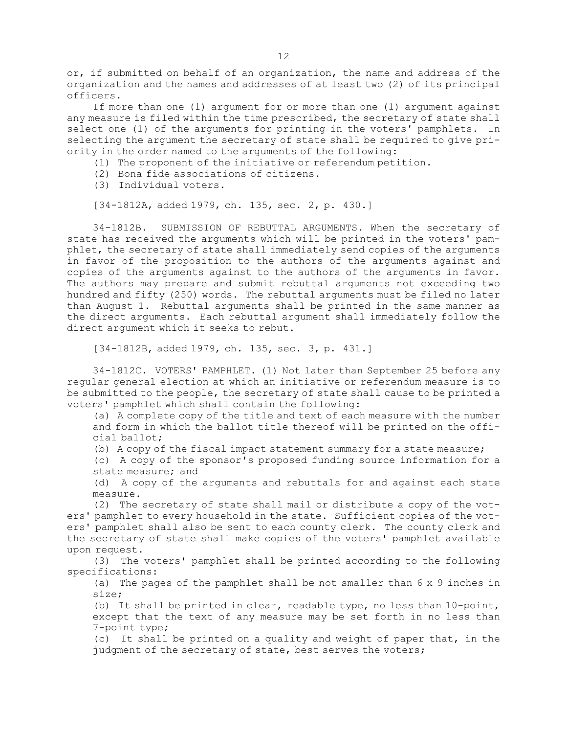or, if submitted on behalf of an organization, the name and address of the organization and the names and addresses of at least two (2) of its principal officers.

If more than one (1) argument for or more than one (1) argument against any measure is filed within the time prescribed, the secretary of state shall select one (1) of the arguments for printing in the voters' pamphlets. In selecting the argument the secretary of state shall be required to give priority in the order named to the arguments of the following:

- (1) The proponent of the initiative or referendum petition.
- (2) Bona fide associations of citizens.
- (3) Individual voters.

[34-1812A, added 1979, ch. 135, sec. 2, p. 430.]

34-1812B. SUBMISSION OF REBUTTAL ARGUMENTS. When the secretary of state has received the arguments which will be printed in the voters' pamphlet, the secretary of state shall immediately send copies of the arguments in favor of the proposition to the authors of the arguments against and copies of the arguments against to the authors of the arguments in favor. The authors may prepare and submit rebuttal arguments not exceeding two hundred and fifty (250) words. The rebuttal arguments must be filed no later than August 1. Rebuttal arguments shall be printed in the same manner as the direct arguments. Each rebuttal argument shall immediately follow the direct argument which it seeks to rebut.

[34-1812B, added 1979, ch. 135, sec. 3, p. 431.]

34-1812C. VOTERS' PAMPHLET. (1) Not later than September 25 before any regular general election at which an initiative or referendum measure is to be submitted to the people, the secretary of state shall cause to be printed <sup>a</sup> voters' pamphlet which shall contain the following:

(a) <sup>A</sup> complete copy of the title and text of each measure with the number and form in which the ballot title thereof will be printed on the official ballot;

(b) <sup>A</sup> copy of the fiscal impact statement summary for <sup>a</sup> state measure;

(c) <sup>A</sup> copy of the sponsor's proposed funding source information for <sup>a</sup> state measure; and

(d) <sup>A</sup> copy of the arguments and rebuttals for and against each state measure.

(2) The secretary of state shall mail or distribute <sup>a</sup> copy of the voters' pamphlet to every household in the state. Sufficient copies of the voters' pamphlet shall also be sent to each county clerk. The county clerk and the secretary of state shall make copies of the voters' pamphlet available upon request.

(3) The voters' pamphlet shall be printed according to the following specifications:

(a) The pages of the pamphlet shall be not smaller than 6 <sup>x</sup> 9 inches in size;

(b) It shall be printed in clear, readable type, no less than 10-point, except that the text of any measure may be set forth in no less than 7-point type;

(c) It shall be printed on <sup>a</sup> quality and weight of paper that, in the judgment of the secretary of state, best serves the voters;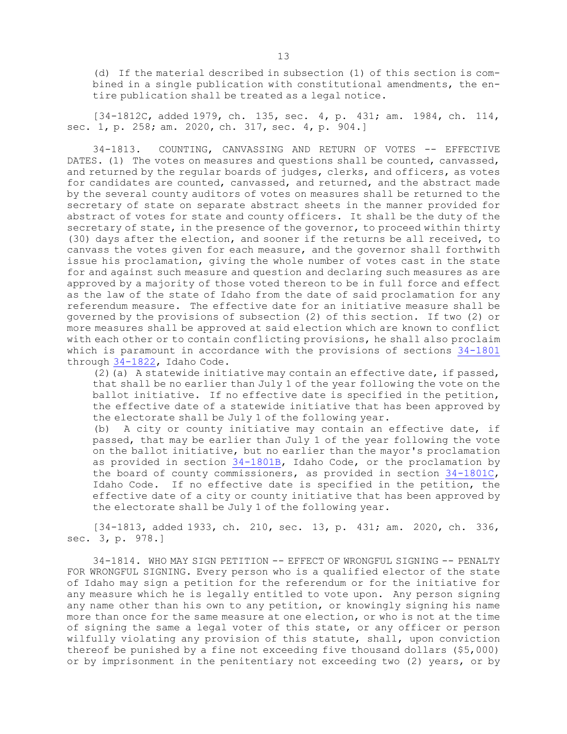(d) If the material described in subsection (1) of this section is combined in <sup>a</sup> single publication with constitutional amendments, the entire publication shall be treated as <sup>a</sup> legal notice.

[34-1812C, added 1979, ch. 135, sec. 4, p. 431; am. 1984, ch. 114, sec. 1, p. 258; am. 2020, ch. 317, sec. 4, p. 904.]

34-1813. COUNTING, CANVASSING AND RETURN OF VOTES -- EFFECTIVE DATES. (1) The votes on measures and questions shall be counted, canvassed, and returned by the regular boards of judges, clerks, and officers, as votes for candidates are counted, canvassed, and returned, and the abstract made by the several county auditors of votes on measures shall be returned to the secretary of state on separate abstract sheets in the manner provided for abstract of votes for state and county officers. It shall be the duty of the secretary of state, in the presence of the governor, to proceed within thirty (30) days after the election, and sooner if the returns be all received, to canvass the votes given for each measure, and the governor shall forthwith issue his proclamation, giving the whole number of votes cast in the state for and against such measure and question and declaring such measures as are approved by <sup>a</sup> majority of those voted thereon to be in full force and effect as the law of the state of Idaho from the date of said proclamation for any referendum measure. The effective date for an initiative measure shall be governed by the provisions of subsection (2) of this section. If two (2) or more measures shall be approved at said election which are known to conflict with each other or to contain conflicting provisions, he shall also proclaim which is paramount in accordance with the provisions of sections [34-1801](https://legislature.idaho.gov/statutesrules/idstat/Title34/T34CH18/SECT34-1801) through [34-1822](https://legislature.idaho.gov/statutesrules/idstat/Title34/T34CH18/SECT34-1822), Idaho Code.

(2)(a) A statewide initiative may contain an effective date, if passed, that shall be no earlier than July 1 of the year following the vote on the ballot initiative. If no effective date is specified in the petition, the effective date of <sup>a</sup> statewide initiative that has been approved by the electorate shall be July 1 of the following year.

(b) <sup>A</sup> city or county initiative may contain an effective date, if passed, that may be earlier than July 1 of the year following the vote on the ballot initiative, but no earlier than the mayor's proclamation as provided in section [34-1801B](https://legislature.idaho.gov/statutesrules/idstat/Title34/T34CH18/SECT34-1801B), Idaho Code, or the proclamation by the board of county commissioners, as provided in section [34-1801C](https://legislature.idaho.gov/statutesrules/idstat/Title34/T34CH18/SECT34-1801C), Idaho Code. If no effective date is specified in the petition, the effective date of <sup>a</sup> city or county initiative that has been approved by the electorate shall be July 1 of the following year.

[34-1813, added 1933, ch. 210, sec. 13, p. 431; am. 2020, ch. 336, sec. 3, p. 978.]

34-1814. WHO MAY SIGN PETITION -- EFFECT OF WRONGFUL SIGNING -- PENALTY FOR WRONGFUL SIGNING. Every person who is <sup>a</sup> qualified elector of the state of Idaho may sign <sup>a</sup> petition for the referendum or for the initiative for any measure which he is legally entitled to vote upon. Any person signing any name other than his own to any petition, or knowingly signing his name more than once for the same measure at one election, or who is not at the time of signing the same <sup>a</sup> legal voter of this state, or any officer or person wilfully violating any provision of this statute, shall, upon conviction thereof be punished by <sup>a</sup> fine not exceeding five thousand dollars (\$5,000) or by imprisonment in the penitentiary not exceeding two (2) years, or by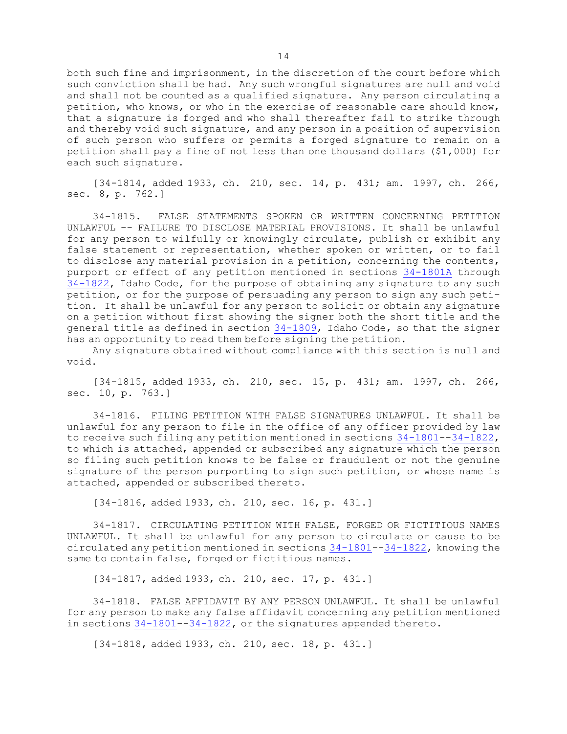both such fine and imprisonment, in the discretion of the court before which such conviction shall be had. Any such wrongful signatures are null and void and shall not be counted as <sup>a</sup> qualified signature. Any person circulating <sup>a</sup> petition, who knows, or who in the exercise of reasonable care should know, that <sup>a</sup> signature is forged and who shall thereafter fail to strike through and thereby void such signature, and any person in <sup>a</sup> position of supervision of such person who suffers or permits <sup>a</sup> forged signature to remain on <sup>a</sup> petition shall pay <sup>a</sup> fine of not less than one thousand dollars (\$1,000) for each such signature.

[34-1814, added 1933, ch. 210, sec. 14, p. 431; am. 1997, ch. 266, sec. 8, p. 762.]

34-1815. FALSE STATEMENTS SPOKEN OR WRITTEN CONCERNING PETITION UNLAWFUL -- FAILURE TO DISCLOSE MATERIAL PROVISIONS. It shall be unlawful for any person to wilfully or knowingly circulate, publish or exhibit any false statement or representation, whether spoken or written, or to fail to disclose any material provision in <sup>a</sup> petition, concerning the contents, purport or effect of any petition mentioned in sections [34-1801A](https://legislature.idaho.gov/statutesrules/idstat/Title34/T34CH18/SECT34-1801A) through [34-1822](https://legislature.idaho.gov/statutesrules/idstat/Title34/T34CH18/SECT34-1822), Idaho Code, for the purpose of obtaining any signature to any such petition, or for the purpose of persuading any person to sign any such petition. It shall be unlawful for any person to solicit or obtain any signature on <sup>a</sup> petition without first showing the signer both the short title and the general title as defined in section [34-1809](https://legislature.idaho.gov/statutesrules/idstat/Title34/T34CH18/SECT34-1809), Idaho Code, so that the signer has an opportunity to read them before signing the petition.

Any signature obtained without compliance with this section is null and void.

[34-1815, added 1933, ch. 210, sec. 15, p. 431; am. 1997, ch. 266, sec. 10, p. 763.]

34-1816. FILING PETITION WITH FALSE SIGNATURES UNLAWFUL. It shall be unlawful for any person to file in the office of any officer provided by law to receive such filing any petition mentioned in sections  $34-1801-34-1822$  $34-1801-34-1822$  $34-1801-34-1822$ , to which is attached, appended or subscribed any signature which the person so filing such petition knows to be false or fraudulent or not the genuine signature of the person purporting to sign such petition, or whose name is attached, appended or subscribed thereto.

[34-1816, added 1933, ch. 210, sec. 16, p. 431.]

34-1817. CIRCULATING PETITION WITH FALSE, FORGED OR FICTITIOUS NAMES UNLAWFUL. It shall be unlawful for any person to circulate or cause to be circulated any petition mentioned in sections [34-1801](https://legislature.idaho.gov/statutesrules/idstat/Title34/T34CH18/SECT34-1801)--[34-1822](https://legislature.idaho.gov/statutesrules/idstat/Title34/T34CH18/SECT34-1822), knowing the same to contain false, forged or fictitious names.

[34-1817, added 1933, ch. 210, sec. 17, p. 431.]

34-1818. FALSE AFFIDAVIT BY ANY PERSON UNLAWFUL. It shall be unlawful for any person to make any false affidavit concerning any petition mentioned in sections [34-1801](https://legislature.idaho.gov/statutesrules/idstat/Title34/T34CH18/SECT34-1801)--[34-1822](https://legislature.idaho.gov/statutesrules/idstat/Title34/T34CH18/SECT34-1822), or the signatures appended thereto.

[34-1818, added 1933, ch. 210, sec. 18, p. 431.]